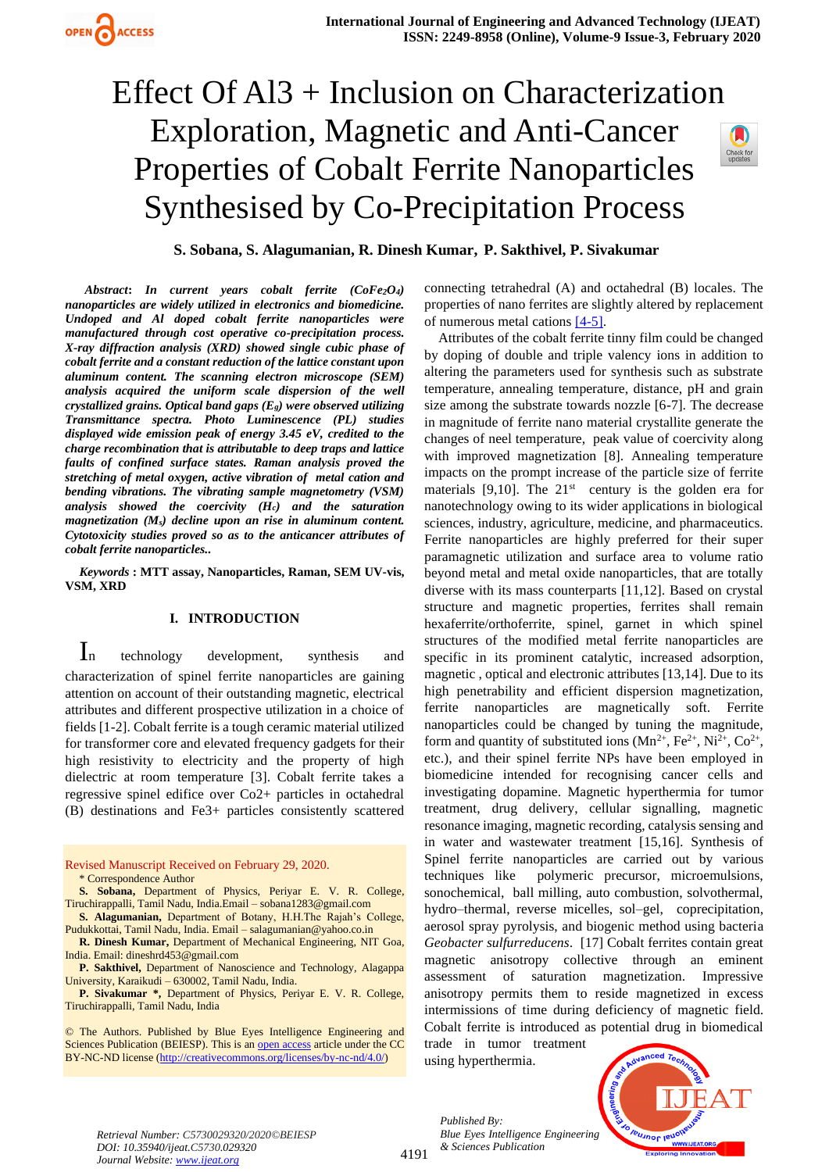

**S. Sobana, S. Alagumanian, R. Dinesh Kumar, P. Sakthivel, P. Sivakumar**

*Abstract***:** *In current years cobalt ferrite (CoFe2O4) nanoparticles are widely utilized in electronics and biomedicine. Undoped and Al doped cobalt ferrite nanoparticles were manufactured through cost operative co-precipitation process. X-ray diffraction analysis (XRD) showed single cubic phase of cobalt ferrite and a constant reduction of the lattice constant upon aluminum content. The scanning electron microscope (SEM) analysis acquired the uniform scale dispersion of the well crystallized grains. Optical band gaps (Eg) were observed utilizing Transmittance spectra. Photo Luminescence (PL) studies displayed wide emission peak of energy 3.45 eV, credited to the charge recombination that is attributable to deep traps and lattice faults of confined surface states. Raman analysis proved the stretching of metal oxygen, active vibration of metal cation and bending vibrations. The vibrating sample magnetometry (VSM) analysis showed the coercivity (Hc) and the saturation magnetization (Ms) decline upon an rise in aluminum content. Cytotoxicity studies proved so as to the anticancer attributes of cobalt ferrite nanoparticles..*

*Keywords* **: MTT assay, Nanoparticles, Raman, SEM UV-vis, VSM, XRD** 

## **I. INTRODUCTION**

In technology development, synthesis and characterization of spinel ferrite nanoparticles are gaining attention on account of their outstanding magnetic, electrical attributes and different prospective utilization in a choice of fields [1-2]. Cobalt ferrite is a tough ceramic material utilized for transformer core and elevated frequency gadgets for their high resistivity to electricity and the property of high dielectric at room temperature [3]. Cobalt ferrite takes a regressive spinel edifice over Co2+ particles in octahedral (B) destinations and Fe3+ particles consistently scattered

Revised Manuscript Received on February 29, 2020. \* Correspondence Author

**S. Sobana,** Department of Physics, Periyar E. V. R. College, Tiruchirappalli, Tamil Nadu, India.Email – sobana1283@gmail.com

**S. Alagumanian,** Department of Botany, H.H.The Rajah's College, Pudukkottai, Tamil Nadu, India. Email – salagumanian@yahoo.co.in

**R. Dinesh Kumar,** Department of Mechanical Engineering, NIT Goa, India. Email: dineshrd453@gmail.com

**P. Sakthivel,** Department of Nanoscience and Technology, Alagappa University, Karaikudi – 630002, Tamil Nadu, India.

**P. Sivakumar \*,** Department of Physics, Periyar E. V. R. College, Tiruchirappalli, Tamil Nadu, India

© The Authors. Published by Blue Eyes Intelligence Engineering and Sciences Publication (BEIESP). This is a[n open access](https://www.openaccess.nl/en/open-publications) article under the CC BY-NC-ND license [\(http://creativecommons.org/licenses/by-nc-nd/4.0/\)](http://creativecommons.org/licenses/by-nc-nd/4.0/)

connecting tetrahedral (A) and octahedral (B) locales. The properties of nano ferrites are slightly altered by replacement of numerous metal cations  $[4-5]$ .

Attributes of the cobalt ferrite tinny film could be changed by doping of double and triple valency ions in addition to altering the parameters used for synthesis such as substrate temperature, annealing temperature, distance, pH and grain size among the substrate towards nozzle [6-7]. The decrease in magnitude of ferrite nano material crystallite generate the changes of neel temperature, peak value of coercivity along with improved magnetization [8]. Annealing temperature impacts on the prompt increase of the particle size of ferrite materials [9,10]. The  $21<sup>st</sup>$  century is the golden era for nanotechnology owing to its wider applications in biological sciences, industry, agriculture, medicine, and pharmaceutics. Ferrite nanoparticles are highly preferred for their super paramagnetic utilization and surface area to volume ratio beyond metal and metal oxide nanoparticles, that are totally diverse with its mass counterparts [11,12]. Based on crystal structure and magnetic properties, ferrites shall remain hexaferrite/orthoferrite, spinel, garnet in which spinel structures of the modified metal ferrite nanoparticles are specific in its prominent catalytic, increased adsorption, magnetic , optical and electronic attributes [13,14]. Due to its high penetrability and efficient dispersion magnetization, ferrite nanoparticles are magnetically soft. Ferrite nanoparticles could be changed by tuning the magnitude, form and quantity of substituted ions  $(Mn^{2+}, Fe^{2+}, Ni^{2+}, Co^{2+},$ etc.), and their spinel ferrite NPs have been employed in biomedicine intended for recognising cancer cells and investigating dopamine. Magnetic hyperthermia for tumor treatment, drug delivery, cellular signalling, magnetic resonance imaging, magnetic recording, catalysis sensing and in water and wastewater treatment [15,16]. Synthesis of Spinel ferrite nanoparticles are carried out by various techniques like polymeric precursor, microemulsions, sonochemical, ball milling, auto combustion, solvothermal, hydro–thermal, reverse micelles, sol–gel, coprecipitation, aerosol spray pyrolysis, and biogenic method using bacteria *Geobacter sulfurreducens*. [17] Cobalt ferrites contain great magnetic anisotropy collective through an eminent assessment of saturation magnetization. Impressive anisotropy permits them to reside magnetized in excess intermissions of time during deficiency of magnetic field. Cobalt ferrite is introduced as potential drug in biomedical

trade in tumor treatment using hyperthermia.



*Retrieval Number: C5730029320/2020©BEIESP DOI: 10.35940/ijeat.C5730.029320 Journal Website[: www.ijeat.org](http://www.ijeat.org/)*

*Published By: Blue Eyes Intelligence Engineering & Sciences Publication*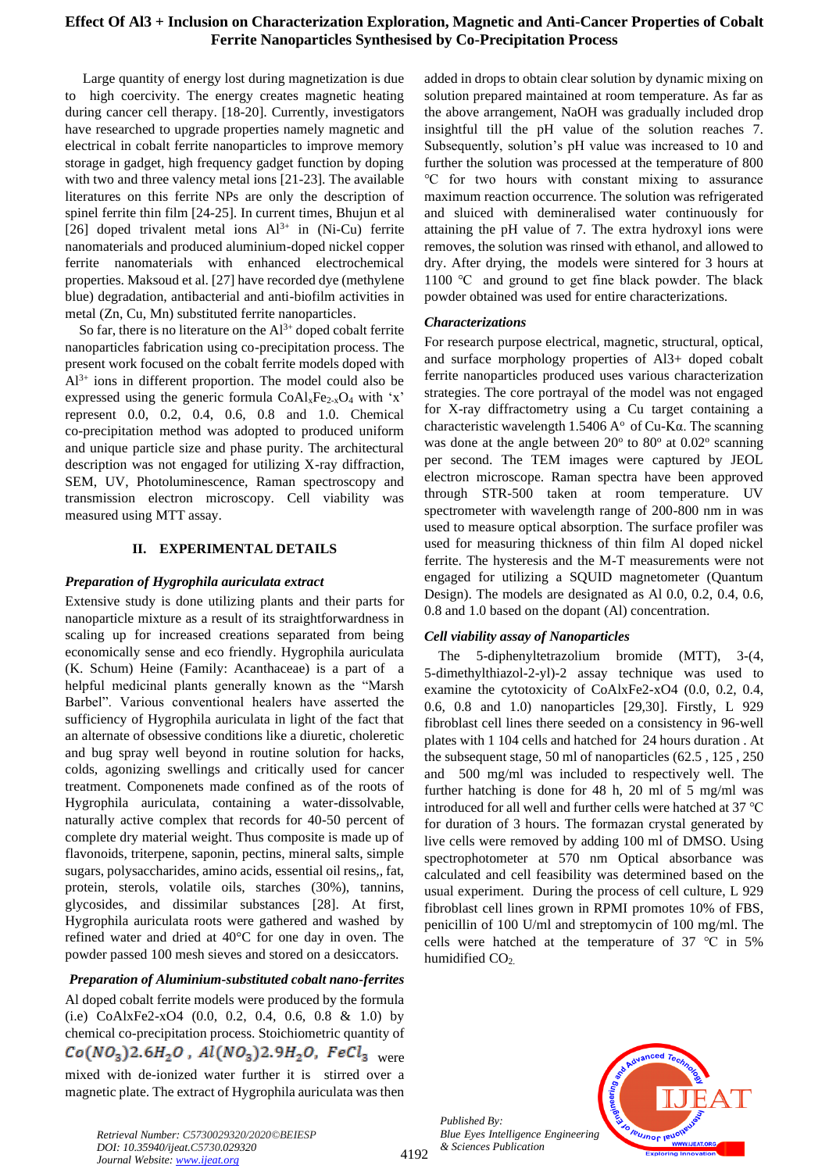Large quantity of energy lost during magnetization is due to high coercivity. The energy creates magnetic heating during cancer cell therapy. [18-20]. Currently, investigators have researched to upgrade properties namely magnetic and electrical in cobalt ferrite nanoparticles to improve memory storage in gadget, high frequency gadget function by doping with two and three valency metal ions [21-23]. The available literatures on this ferrite NPs are only the description of spinel ferrite thin film [24-25]. In current times, Bhujun et al [26] doped trivalent metal ions  $Al^{3+}$  in (Ni-Cu) ferrite nanomaterials and produced aluminium-doped nickel copper ferrite nanomaterials with enhanced electrochemical properties. Maksoud et al. [27] have recorded dye (methylene blue) degradation, antibacterial and anti-biofilm activities in metal (Zn, Cu, Mn) substituted ferrite nanoparticles.

So far, there is no literature on the  $Al^{3+}$  doped cobalt ferrite nanoparticles fabrication using co-precipitation process. The present work focused on the cobalt ferrite models doped with  $Al^{3+}$  ions in different proportion. The model could also be expressed using the generic formula  $CoAl_xFe_{2-x}O_4$  with 'x' represent 0.0, 0.2, 0.4, 0.6, 0.8 and 1.0. Chemical co-precipitation method was adopted to produced uniform and unique particle size and phase purity. The architectural description was not engaged for utilizing X-ray diffraction, SEM, UV, Photoluminescence, Raman spectroscopy and transmission electron microscopy. Cell viability was measured using MTT assay.

# **II. EXPERIMENTAL DETAILS**

# *Preparation of Hygrophila auriculata extract*

Extensive study is done utilizing plants and their parts for nanoparticle mixture as a result of its straightforwardness in scaling up for increased creations separated from being economically sense and eco friendly. Hygrophila auriculata (K. Schum) Heine (Family: Acanthaceae) is a part of a helpful medicinal plants generally known as the "Marsh Barbel". Various conventional healers have asserted the sufficiency of Hygrophila auriculata in light of the fact that an alternate of obsessive conditions like a diuretic, choleretic and bug spray well beyond in routine solution for hacks, colds, agonizing swellings and critically used for cancer treatment. Componenets made confined as of the roots of Hygrophila auriculata, containing a water-dissolvable, naturally active complex that records for 40-50 percent of complete dry material weight. Thus composite is made up of flavonoids, triterpene, saponin, pectins, mineral salts, simple sugars, polysaccharides, amino acids, essential oil resins,, fat, protein, sterols, volatile oils, starches (30%), tannins, glycosides, and dissimilar substances [28]. At first, Hygrophila auriculata roots were gathered and washed by refined water and dried at 40°C for one day in oven. The powder passed 100 mesh sieves and stored on a desiccators.

# *Preparation of Aluminium-substituted cobalt nano-ferrites*

Al doped cobalt ferrite models were produced by the formula (i.e) CoAlxFe2-xO4 (0.0, 0.2, 0.4, 0.6, 0.8 & 1.0) by chemical co-precipitation process. Stoichiometric quantity of  $Co(NO<sub>3</sub>)2.6H<sub>2</sub>O$ ,  $Al(NO<sub>3</sub>)2.9H<sub>2</sub>O$ ,  $FeCl<sub>3</sub>$ <sub>were</sub> mixed with de-ionized water further it is stirred over a magnetic plate. The extract of Hygrophila auriculata was then added in drops to obtain clear solution by dynamic mixing on solution prepared maintained at room temperature. As far as the above arrangement, NaOH was gradually included drop insightful till the pH value of the solution reaches 7. Subsequently, solution's pH value was increased to 10 and further the solution was processed at the temperature of 800 ℃ for two hours with constant mixing to assurance maximum reaction occurrence. The solution was refrigerated and sluiced with demineralised water continuously for attaining the pH value of 7. The extra hydroxyl ions were removes, the solution was rinsed with ethanol, and allowed to dry. After drying, the models were sintered for 3 hours at 1100 ℃ and ground to get fine black powder. The black powder obtained was used for entire characterizations.

## *Characterizations*

For research purpose electrical, magnetic, structural, optical, and surface morphology properties of Al3+ doped cobalt ferrite nanoparticles produced uses various characterization strategies. The core portrayal of the model was not engaged for X-ray diffractometry using a Cu target containing a characteristic wavelength  $1.5406 \, \mathrm{A}^{\circ}$  of Cu-K $\alpha$ . The scanning was done at the angle between  $20^{\circ}$  to  $80^{\circ}$  at  $0.02^{\circ}$  scanning per second. The TEM images were captured by JEOL electron microscope. Raman spectra have been approved through STR-500 taken at room temperature. UV spectrometer with wavelength range of 200-800 nm in was used to measure optical absorption. The surface profiler was used for measuring thickness of thin film Al doped nickel ferrite. The hysteresis and the M-T measurements were not engaged for utilizing a SQUID magnetometer (Quantum Design). The models are designated as Al 0.0, 0.2, 0.4, 0.6, 0.8 and 1.0 based on the dopant (Al) concentration.

## *Cell viability assay of Nanoparticles*

The 5-diphenyltetrazolium bromide (MTT), 3-(4, 5-dimethylthiazol-2-yl)-2 assay technique was used to examine the cytotoxicity of CoAlxFe2-xO4 (0.0, 0.2, 0.4, 0.6, 0.8 and 1.0) nanoparticles [29,30]. Firstly, L 929 fibroblast cell lines there seeded on a consistency in 96-well plates with 1 104 cells and hatched for 24 hours duration . At the subsequent stage, 50 ml of nanoparticles (62.5 , 125 , 250 and 500 mg/ml was included to respectively well. The further hatching is done for 48 h, 20 ml of 5 mg/ml was introduced for all well and further cells were hatched at 37 ℃ for duration of 3 hours. The formazan crystal generated by live cells were removed by adding 100 ml of DMSO. Using spectrophotometer at 570 nm Optical absorbance was calculated and cell feasibility was determined based on the usual experiment. During the process of cell culture, L 929 fibroblast cell lines grown in RPMI promotes 10% of FBS, penicillin of 100 U/ml and streptomycin of 100 mg/ml. The cells were hatched at the temperature of 37 ℃ in 5% humidified  $CO<sub>2</sub>$ .

*Published By: Blue Eyes Intelligence Engineering & Sciences Publication* 

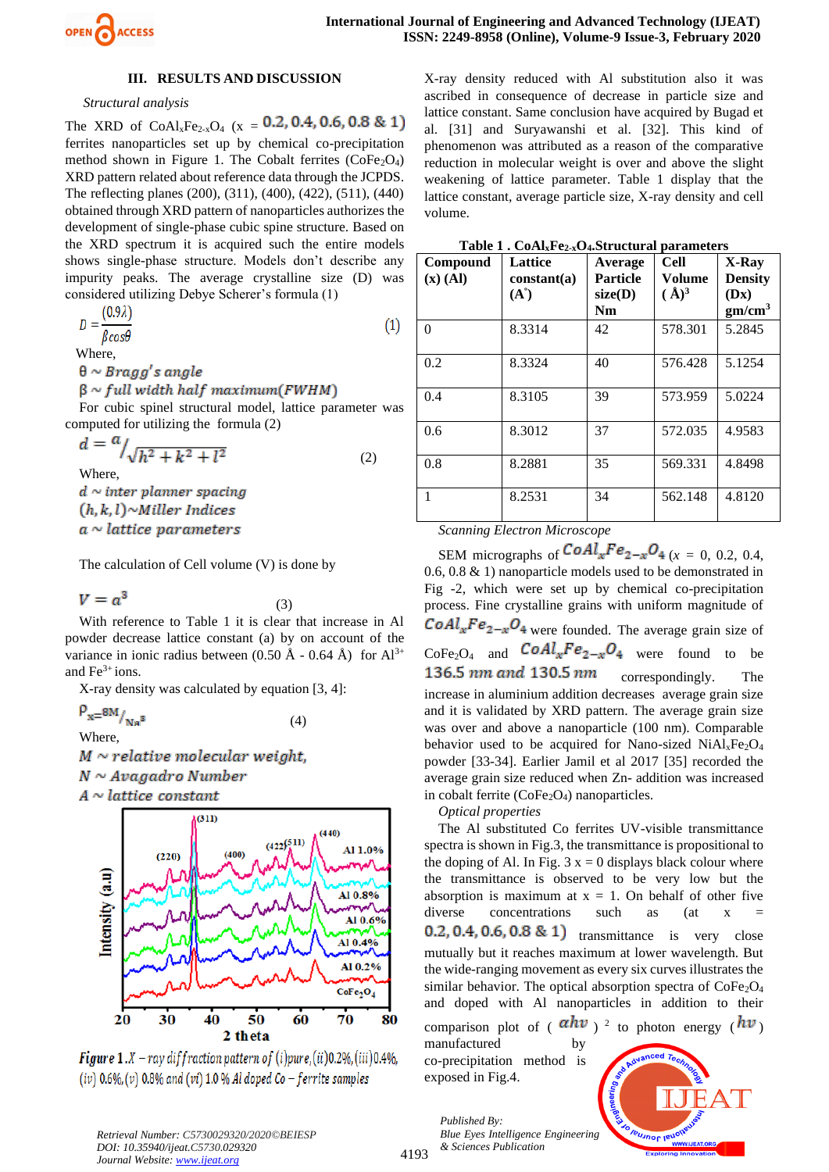

#### **III. RESULTS AND DISCUSSION**

### *Structural analysis*

The XRD of CoAl<sub>x</sub>Fe<sub>2-x</sub>O<sub>4</sub> (x = 0.2, 0.4, 0.6, 0.8 & 1) ferrites nanoparticles set up by chemical co-precipitation method shown in Figure 1. The Cobalt ferrites  $(CoFe<sub>2</sub>O<sub>4</sub>)$ XRD pattern related about reference data through the JCPDS. The reflecting planes (200), (311), (400), (422), (511), (440) obtained through XRD pattern of nanoparticles authorizes the development of single-phase cubic spine structure. Based on the XRD spectrum it is acquired such the entire models shows single-phase structure. Models don't describe any impurity peaks. The average crystalline size (D) was considered utilizing Debye Scherer's formula (1)

$$
D = \frac{(0.9\lambda)}{\beta \cos \theta} \tag{1}
$$

Where,

 $\theta \sim Bragg's$  angle

 $\beta \sim full$  width half maximum(FWHM)

For cubic spinel structural model, lattice parameter was computed for utilizing the formula (2)

$$
d = \frac{u}{\sqrt{h^2 + k^2 + l^2}} \tag{2}
$$

Where,

 $d \sim$  inter planner spacing  $(h, k, l)$ ~Miller Indices  $a \sim$  lattice parameters

The calculation of Cell volume (V) is done by

$$
V = a^3 \tag{3}
$$

With reference to Table 1 it is clear that increase in Al powder decrease lattice constant (a) by on account of the variance in ionic radius between  $(0.50 \text{ Å} - 0.64 \text{ Å})$  for  $\text{Al}^{3+}$ and  $Fe<sup>3+</sup> ions$ .

X-ray density was calculated by equation [3, 4]:

 $\rho_{x=8M/_{\rm Na}^{\phantom{A}3}}$ (4)

Where,

 $M \sim$  relative molecular weight,  $N \sim Avagadro$  Number  $A \sim$  lattice constant



**Figure 1.**  $X$  – ray diffraction pattern of (i)pure, (ii) 0.2%, (iii) 0.4%, (iv)  $0.6\%$ , (v)  $0.8\%$  and (vi) 1.0 % Al doped Co – ferrite samples

X-ray density reduced with Al substitution also it was ascribed in consequence of decrease in particle size and lattice constant. Same conclusion have acquired by Bugad et al. [31] and Suryawanshi et al. [32]. This kind of phenomenon was attributed as a reason of the comparative reduction in molecular weight is over and above the slight weakening of lattice parameter. Table 1 display that the lattice constant, average particle size, X-ray density and cell volume.

| Table 1. CoAlxFe2-xO4.Structural parameters |  |
|---------------------------------------------|--|
|---------------------------------------------|--|

| Compound<br>$(x)$ (Al) | <b>Lattice</b><br>constant(a)<br>$(A^{\circ})$ | Average<br><b>Particle</b><br>size(D)<br><b>Nm</b> | <b>Cell</b><br>Volume<br>$(\AA)^3$ | X-Ray<br><b>Density</b><br>(Dx)<br>gm/cm <sup>3</sup> |
|------------------------|------------------------------------------------|----------------------------------------------------|------------------------------------|-------------------------------------------------------|
| $\Omega$               | 8.3314                                         | 42                                                 | 578.301                            | 5.2845                                                |
| 0.2                    | 8.3324                                         | 40                                                 | 576.428                            | 5.1254                                                |
| 0.4                    | 8.3105                                         | 39                                                 | 573.959                            | 5.0224                                                |
| 0.6                    | 8.3012                                         | 37                                                 | 572.035                            | 4.9583                                                |
| 0.8                    | 8.2881                                         | 35                                                 | 569.331                            | 4.8498                                                |
| 1                      | 8.2531                                         | 34                                                 | 562.148                            | 4.8120                                                |

*Scanning Electron Microscope* 

SEM micrographs of  $\text{CoAl}_x\text{Fe}_{2-x}\text{O}_4$  (x = 0, 0.2, 0.4, 0.6, 0.8 & 1) nanoparticle models used to be demonstrated in Fig -2, which were set up by chemical co-precipitation process. Fine crystalline grains with uniform magnitude of  $CoAl_xFe_{2-x}O_4$  were founded. The average grain size of  $CoFe<sub>2</sub>O<sub>4</sub>$  and  $CoAl<sub>x</sub>Fe<sub>2-x</sub>O<sub>4</sub>$  were found to be 136.5 nm and 130.5 nm correspondingly. The increase in aluminium addition decreases average grain size and it is validated by XRD pattern. The average grain size was over and above a nanoparticle (100 nm). Comparable behavior used to be acquired for Nano-sized  $NiAl<sub>x</sub>Fe<sub>2</sub>O<sub>4</sub>$ powder [33-34]. Earlier Jamil et al 2017 [35] recorded the average grain size reduced when Zn- addition was increased in cobalt ferrite  $(CoFe<sub>2</sub>O<sub>4</sub>)$  nanoparticles.

#### *Optical properties*

The Al substituted Co ferrites UV-visible transmittance spectra is shown in Fig.3, the transmittance is propositional to the doping of Al. In Fig.  $3 x = 0$  displays black colour where the transmittance is observed to be very low but the absorption is maximum at  $x = 1$ . On behalf of other five diverse concentrations such as (at x  $0.2, 0.4, 0.6, 0.8 \& 1$  transmittance is very close mutually but it reaches maximum at lower wavelength. But the wide-ranging movement as every six curves illustrates the similar behavior. The optical absorption spectra of  $CoFe<sub>2</sub>O<sub>4</sub>$ and doped with Al nanoparticles in addition to their comparison plot of ( $a$ *nv*)<sup>2</sup> to photon energy ( $b$ *v*) manufactured

co-precipitation method is exposed in Fig.4.

*Published By:*

*& Sciences Publication* 

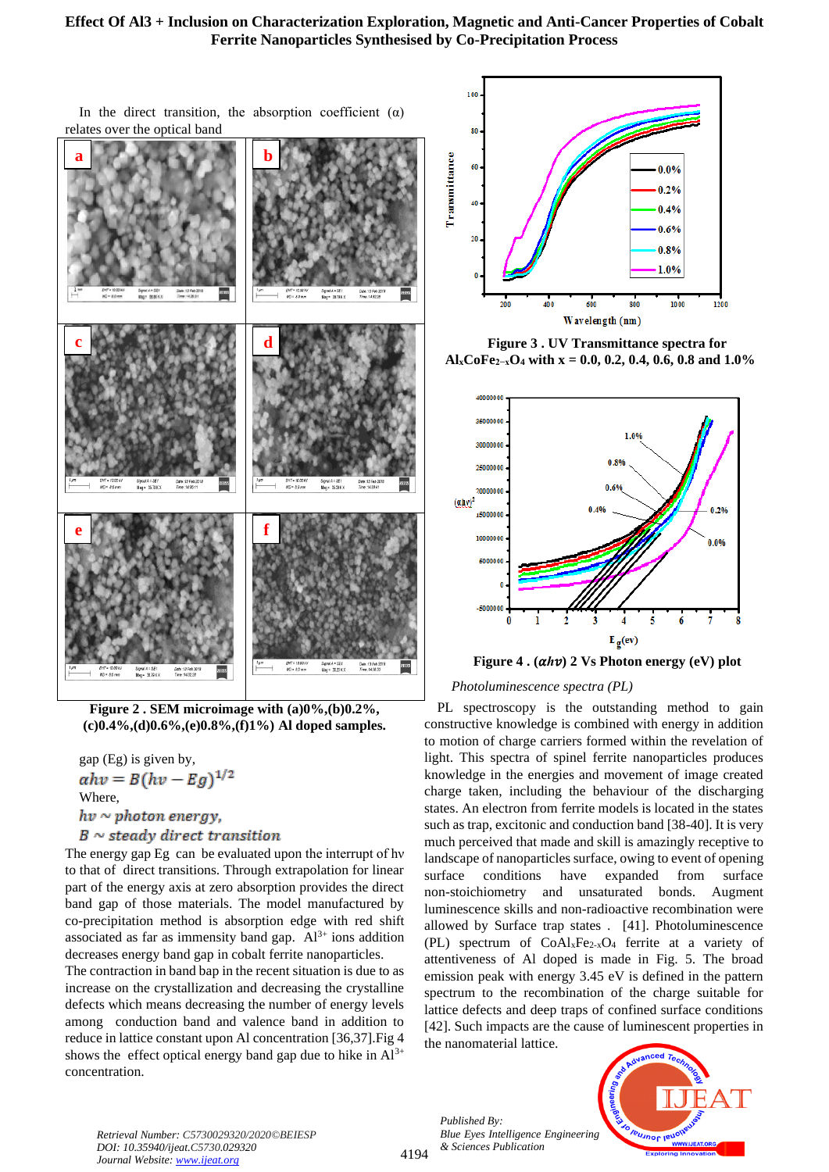In the direct transition, the absorption coefficient  $(\alpha)$ relates over the optical band



**Figure 2 . SEM microimage with (a)0%,(b)0.2%, (c)0.4%,(d)0.6%,(e)0.8%,(f)1%) Al doped samples.**

gap (Eg) is given by,<br>  $\alpha hv = B(hv - Eg)^{1/2}$ Where,  $hv \sim photon$  energy,  $B \sim$  steady direct transition

The energy gap Eg can be evaluated upon the interrupt of hv to that of direct transitions. Through extrapolation for linear part of the energy axis at zero absorption provides the direct band gap of those materials. The model manufactured by co-precipitation method is absorption edge with red shift associated as far as immensity band gap.  $Al^{3+}$  ions addition decreases energy band gap in cobalt ferrite nanoparticles.

The contraction in band bap in the recent situation is due to as increase on the crystallization and decreasing the crystalline defects which means decreasing the number of energy levels among conduction band and valence band in addition to reduce in lattice constant upon Al concentration [36,37].Fig 4 shows the effect optical energy band gap due to hike in  $Al^{3+}$ concentration.



**Figure 3 . UV Transmittance spectra for AlxCoFe2−xO<sup>4</sup> with x = 0.0, 0.2, 0.4, 0.6, 0.8 and 1.0%**



## *Photoluminescence spectra (PL)*

PL spectroscopy is the outstanding method to gain constructive knowledge is combined with energy in addition to motion of charge carriers formed within the revelation of light. This spectra of spinel ferrite nanoparticles produces knowledge in the energies and movement of image created charge taken, including the behaviour of the discharging states. An electron from ferrite models is located in the states such as trap, excitonic and conduction band [38-40]. It is very much perceived that made and skill is amazingly receptive to landscape of nanoparticles surface, owing to event of opening surface conditions have expanded from surface non-stoichiometry and unsaturated bonds. Augment luminescence skills and non-radioactive recombination were allowed by Surface trap states . [41]. Photoluminescence (PL) spectrum of  $CoAl_xFe_{2-x}O_4$  ferrite at a variety of attentiveness of Al doped is made in Fig. 5. The broad emission peak with energy 3.45 eV is defined in the pattern spectrum to the recombination of the charge suitable for lattice defects and deep traps of confined surface conditions [42]. Such impacts are the cause of luminescent properties in the nanomaterial lattice.

*Published By: Blue Eyes Intelligence Engineering & Sciences Publication* 



*Retrieval Number: C5730029320/2020©BEIESP DOI: 10.35940/ijeat.C5730.029320 Journal Website[: www.ijeat.org](http://www.ijeat.org/)*

4194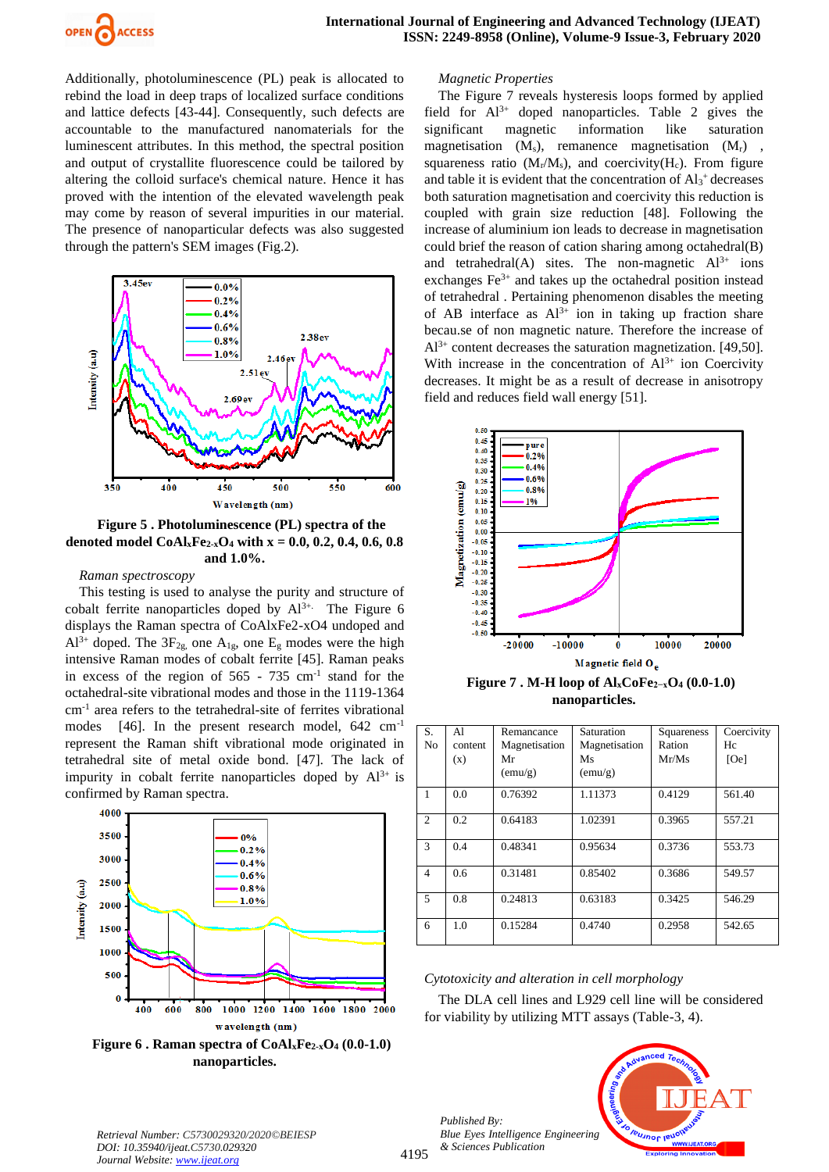

Additionally, photoluminescence (PL) peak is allocated to rebind the load in deep traps of localized surface conditions and lattice defects [43-44]. Consequently, such defects are accountable to the manufactured nanomaterials for the luminescent attributes. In this method, the spectral position and output of crystallite fluorescence could be tailored by altering the colloid surface's chemical nature. Hence it has proved with the intention of the elevated wavelength peak may come by reason of several impurities in our material. The presence of nanoparticular defects was also suggested through the pattern's SEM images (Fig.2).



**Figure 5 . Photoluminescence (PL) spectra of the denoted model CoAlxFe2-xO<sup>4</sup> with x = 0.0, 0.2, 0.4, 0.6, 0.8 and 1.0%.**

#### *Raman spectroscopy*

This testing is used to analyse the purity and structure of cobalt ferrite nanoparticles doped by  $Al^{3+}$ . The Figure 6 displays the Raman spectra of CoAlxFe2-xO4 undoped and  $Al^{3+}$  doped. The  $3F_{2g}$ , one  $A_{1g}$ , one  $E_g$  modes were the high intensive Raman modes of cobalt ferrite [45]. Raman peaks in excess of the region of  $565 - 735$  cm<sup>-1</sup> stand for the octahedral-site vibrational modes and those in the 1119-1364 cm-1 area refers to the tetrahedral-site of ferrites vibrational modes [46]. In the present research model, 642 cm<sup>-1</sup> represent the Raman shift vibrational mode originated in tetrahedral site of metal oxide bond. [47]. The lack of impurity in cobalt ferrite nanoparticles doped by  $Al^{3+}$  is confirmed by Raman spectra.



**Figure 6 . Raman spectra of CoAlxFe2-xO<sup>4</sup> (0.0-1.0) nanoparticles.**

#### *Magnetic Properties*

The Figure 7 reveals hysteresis loops formed by applied field for  $Al^{3+}$  doped nanoparticles. Table 2 gives the significant magnetic information like saturation magnetisation  $(M_s)$ , remanence magnetisation  $(M_r)$ , squareness ratio  $(M_r/M_s)$ , and coercivity $(H_c)$ . From figure and table it is evident that the concentration of  $Al<sub>3</sub>$ <sup>+</sup> decreases both saturation magnetisation and coercivity this reduction is coupled with grain size reduction [48]. Following the increase of aluminium ion leads to decrease in magnetisation could brief the reason of cation sharing among octahedral(B) and tetrahedral(A) sites. The non-magnetic  $Al^{3+}$  ions exchanges  $Fe<sup>3+</sup>$  and takes up the octahedral position instead of tetrahedral . Pertaining phenomenon disables the meeting of AB interface as  $Al^{3+}$  ion in taking up fraction share becau.se of non magnetic nature. Therefore the increase of  $Al^{3+}$  content decreases the saturation magnetization. [49,50]. With increase in the concentration of  $Al^{3+}$  ion Coercivity decreases. It might be as a result of decrease in anisotropy field and reduces field wall energy [51].



**Figure 7 . M-H loop of AlxCoFe2−xO<sup>4</sup> (0.0-1.0) nanoparticles.**

| S.             | Al      | Remancance    | Saturation    | Squareness | Coercivity |
|----------------|---------|---------------|---------------|------------|------------|
| N <sub>0</sub> | content | Magnetisation | Magnetisation | Ration     | Hc         |
|                | (x)     | Mr            | Ms            | Mr/Ms      | [Oe]       |
|                |         | (emu/g)       | (emu/g)       |            |            |
| 1              | 0.0     | 0.76392       | 1.11373       | 0.4129     | 561.40     |
| 2              | 0.2     | 0.64183       | 1.02391       | 0.3965     | 557.21     |
| 3              | 0.4     | 0.48341       | 0.95634       | 0.3736     | 553.73     |
| 4              | 0.6     | 0.31481       | 0.85402       | 0.3686     | 549.57     |
| 5              | 0.8     | 0.24813       | 0.63183       | 0.3425     | 546.29     |
| 6              | 1.0     | 0.15284       | 0.4740        | 0.2958     | 542.65     |

#### *Cytotoxicity and alteration in cell morphology*

The DLA cell lines and L929 cell line will be considered for viability by utilizing MTT assays (Table-3, 4).



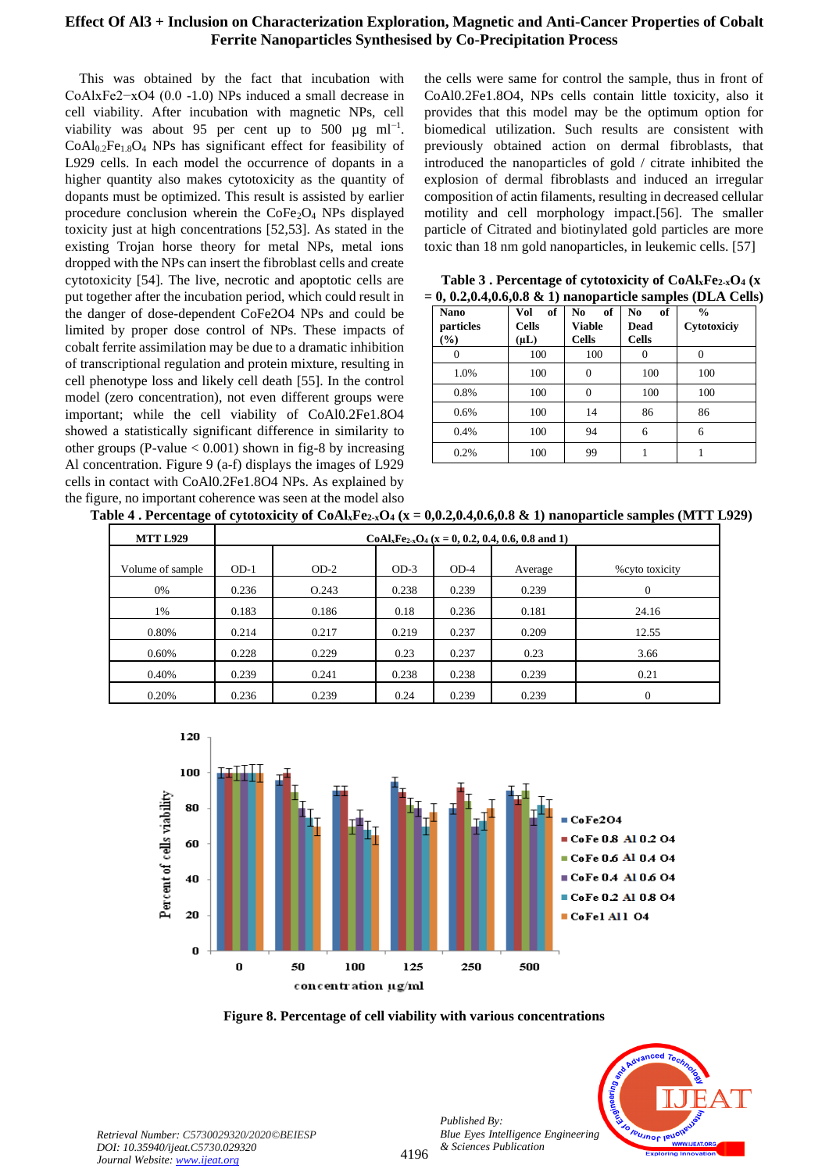This was obtained by the fact that incubation with CoAlxFe2−xO4 (0.0 -1.0) NPs induced a small decrease in cell viability. After incubation with magnetic NPs, cell viability was about 95 per cent up to 500  $\mu$ g ml<sup>-1</sup>.  $CoAl<sub>0.2</sub>Fe<sub>1.8</sub>O<sub>4</sub>$  NPs has significant effect for feasibility of L929 cells. In each model the occurrence of dopants in a higher quantity also makes cytotoxicity as the quantity of dopants must be optimized. This result is assisted by earlier procedure conclusion wherein the CoFe2O<sup>4</sup> NPs displayed toxicity just at high concentrations [52,53]. As stated in the existing Trojan horse theory for metal NPs, metal ions dropped with the NPs can insert the fibroblast cells and create cytotoxicity [54]. The live, necrotic and apoptotic cells are put together after the incubation period, which could result in the danger of dose-dependent CoFe2O4 NPs and could be limited by proper dose control of NPs. These impacts of cobalt ferrite assimilation may be due to a dramatic inhibition of transcriptional regulation and protein mixture, resulting in cell phenotype loss and likely cell death [55]. In the control model (zero concentration), not even different groups were important; while the cell viability of CoAl0.2Fe1.8O4 showed a statistically significant difference in similarity to other groups (P-value  $< 0.001$ ) shown in fig-8 by increasing Al concentration. Figure 9 (a-f) displays the images of L929 cells in contact with CoAl0.2Fe1.8O4 NPs. As explained by the figure, no important coherence was seen at the model also

the cells were same for control the sample, thus in front of CoAl0.2Fe1.8O4, NPs cells contain little toxicity, also it provides that this model may be the optimum option for biomedical utilization. Such results are consistent with previously obtained action on dermal fibroblasts, that introduced the nanoparticles of gold / citrate inhibited the explosion of dermal fibroblasts and induced an irregular composition of actin filaments, resulting in decreased cellular motility and cell morphology impact.[56]. The smaller particle of Citrated and biotinylated gold particles are more toxic than 18 nm gold nanoparticles, in leukemic cells. [57]

| $= 0, 0.2, 0.4, 0.0, 0.8$ $\in$ 1) hanoparticle samples (DLA Cells |                                        |                                    |                                   |                              |  |  |
|--------------------------------------------------------------------|----------------------------------------|------------------------------------|-----------------------------------|------------------------------|--|--|
| <b>Nano</b><br>particles<br>$(\%)$                                 | of<br>Vol<br><b>Cells</b><br>$(\mu L)$ | of<br>No<br>Viable<br><b>Cells</b> | of<br>No.<br>Dead<br><b>Cells</b> | $\frac{0}{0}$<br>Cytotoxiciy |  |  |
|                                                                    | 100                                    | 100                                |                                   |                              |  |  |
| 1.0%                                                               | 100                                    | 0                                  | 100                               | 100                          |  |  |
| 0.8%                                                               | 100                                    | 0                                  | 100                               | 100                          |  |  |
| 0.6%                                                               | 100                                    | 14                                 | 86                                | 86                           |  |  |
| 0.4%                                                               | 100                                    | 94                                 | 6                                 | 6                            |  |  |
| 0.2%                                                               | 100                                    | 99                                 |                                   |                              |  |  |

**Table 3 . Percentage of cytotoxicity of CoAlxFe2-xO<sup>4</sup> (x = 0, 0.2,0.4,0.6,0.8 & 1) nanoparticle samples (DLA Cells)**

| Table 4 . Percentage of cytotoxicity of CoAl <sub>x</sub> Fe <sub>2-x</sub> O <sub>4</sub> (x = 0,0.2,0.4,0.6,0.8 & 1) nanoparticle samples (MTT L929) |  |  |  |  |
|--------------------------------------------------------------------------------------------------------------------------------------------------------|--|--|--|--|
|--------------------------------------------------------------------------------------------------------------------------------------------------------|--|--|--|--|

| <b>MTT L929</b>  | $CoAl_xFe_{2-x}O_4$ (x = 0, 0.2, 0.4, 0.6, 0.8 and 1) |        |        |        |         |                 |
|------------------|-------------------------------------------------------|--------|--------|--------|---------|-----------------|
| Volume of sample | $OD-1$                                                | $OD-2$ | $OD-3$ | $OD-4$ | Average | % cyto toxicity |
| 0%               | 0.236                                                 | O.243  | 0.238  | 0.239  | 0.239   | $\theta$        |
| 1%               | 0.183                                                 | 0.186  | 0.18   | 0.236  | 0.181   | 24.16           |
| 0.80%            | 0.214                                                 | 0.217  | 0.219  | 0.237  | 0.209   | 12.55           |
| 0.60%            | 0.228                                                 | 0.229  | 0.23   | 0.237  | 0.23    | 3.66            |
| 0.40%            | 0.239                                                 | 0.241  | 0.238  | 0.238  | 0.239   | 0.21            |
| 0.20%            | 0.236                                                 | 0.239  | 0.24   | 0.239  | 0.239   | $\Omega$        |



**Figure 8. Percentage of cell viability with various concentrations**

4196

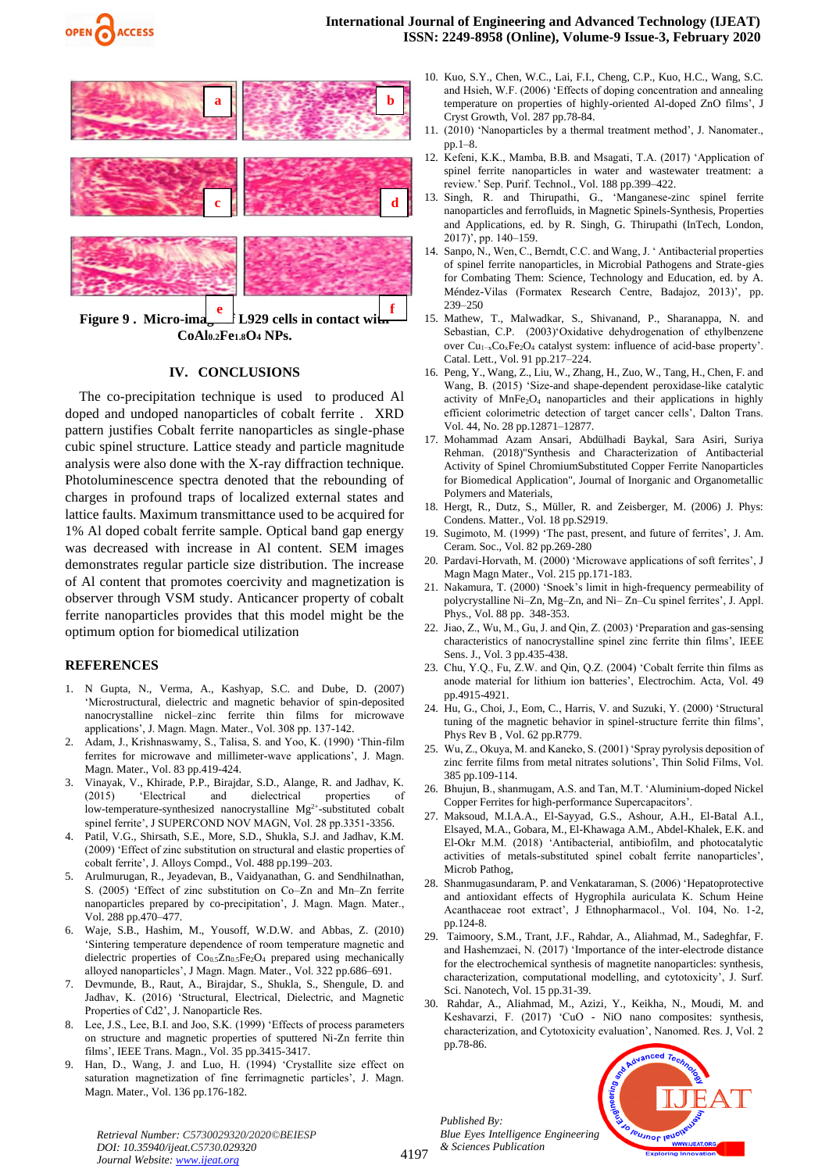



**Figure 9** . Micro-ima<sub>ge</sub> **L929** cells in contact with **CoAl0.2Fe1.8O<sup>4</sup> NPs.**

## **IV. CONCLUSIONS**

The co-precipitation technique is used to produced Al doped and undoped nanoparticles of cobalt ferrite . XRD pattern justifies Cobalt ferrite nanoparticles as single-phase cubic spinel structure. Lattice steady and particle magnitude analysis were also done with the X-ray diffraction technique. Photoluminescence spectra denoted that the rebounding of charges in profound traps of localized external states and lattice faults. Maximum transmittance used to be acquired for 1% Al doped cobalt ferrite sample. Optical band gap energy was decreased with increase in Al content. SEM images demonstrates regular particle size distribution. The increase of Al content that promotes coercivity and magnetization is observer through VSM study. Anticancer property of cobalt ferrite nanoparticles provides that this model might be the optimum option for biomedical utilization

#### **REFERENCES**

- 1. N Gupta, N., Verma, A., Kashyap, S.C. and Dube, D. (2007) 'Microstructural, dielectric and magnetic behavior of spin-deposited nanocrystalline nickel–zinc ferrite thin films for microwave applications', J. Magn. Magn. Mater., Vol. 308 pp. 137-142.
- 2. Adam, J., Krishnaswamy, S., Talisa, S. and Yoo, K. (1990) 'Thin-film ferrites for microwave and millimeter-wave applications', J. Magn. Magn. Mater., Vol. 83 pp.419-424.
- 3. Vinayak, V., Khirade, P.P., Birajdar, S.D., Alange, R. and Jadhav, K. (2015) 'Electrical and dielectrical properties of low-temperature-synthesized nanocrystalline  $Mg^{2+}$ -substituted cobalt spinel ferrite', J SUPERCOND NOV MAGN, Vol. 28 pp.3351-3356.
- Patil, V.G., Shirsath, S.E., More, S.D., Shukla, S.J. and Jadhav, K.M. (2009) 'Effect of zinc substitution on structural and elastic properties of cobalt ferrite', J. Alloys Compd., Vol. 488 pp.199–203.
- 5. Arulmurugan, R., Jeyadevan, B., Vaidyanathan, G. and Sendhilnathan, S. (2005) 'Effect of zinc substitution on Co–Zn and Mn–Zn ferrite nanoparticles prepared by co-precipitation', J. Magn. Magn. Mater., Vol. 288 pp.470–477.
- 6. Waje, S.B., Hashim, M., Yousoff, W.D.W. and Abbas, Z. (2010) 'Sintering temperature dependence of room temperature magnetic and dielectric properties of  $Co<sub>0.5</sub>Zn<sub>0.5</sub>Fe<sub>2</sub>O<sub>4</sub>$  prepared using mechanically alloyed nanoparticles', J Magn. Magn. Mater., Vol. 322 pp.686–691.
- 7. Devmunde, B., Raut, A., Birajdar, S., Shukla, S., Shengule, D. and Jadhav, K. (2016) 'Structural, Electrical, Dielectric, and Magnetic Properties of Cd2', J. Nanoparticle Res.
- 8. Lee, J.S., Lee, B.I. and Joo, S.K. (1999) 'Effects of process parameters on structure and magnetic properties of sputtered Ni-Zn ferrite thin films', IEEE Trans. Magn., Vol. 35 pp.3415-3417.
- 9. Han, D., Wang, J. and Luo, H. (1994) 'Crystallite size effect on saturation magnetization of fine ferrimagnetic particles', J. Magn. Magn. Mater., Vol. 136 pp.176-182.
- 10. Kuo, S.Y., Chen, W.C., Lai, F.I., Cheng, C.P., Kuo, H.C., Wang, S.C. and Hsieh, W.F. (2006) 'Effects of doping concentration and annealing temperature on properties of highly-oriented Al-doped ZnO films', J Cryst Growth, Vol. 287 pp.78-84.
- 11. (2010) 'Nanoparticles by a thermal treatment method', J. Nanomater., pp.1–8.
- 12. Kefeni, K.K., Mamba, B.B. and Msagati, T.A. (2017) 'Application of spinel ferrite nanoparticles in water and wastewater treatment: a review.' Sep. Purif. Technol., Vol. 188 pp.399–422.
- 13. Singh, R. and Thirupathi, G., 'Manganese-zinc spinel ferrite nanoparticles and ferrofluids, in Magnetic Spinels-Synthesis, Properties and Applications, ed. by R. Singh, G. Thirupathi (InTech, London, 2017)', pp. 140–159.
- 14. Sanpo, N., Wen, C., Berndt, C.C. and Wang, J. ' Antibacterial properties of spinel ferrite nanoparticles, in Microbial Pathogens and Strate-gies for Combating Them: Science, Technology and Education, ed. by A. Méndez-Vilas (Formatex Research Centre, Badajoz, 2013)', pp. 239–250
- 15. Mathew, T., Malwadkar, S., Shivanand, P., Sharanappa, N. and Sebastian, C.P. (2003)'Oxidative dehydrogenation of ethylbenzene over Cu1−xCoxFe2O<sup>4</sup> catalyst system: influence of acid-base property'. Catal. Lett., Vol. 91 pp.217–224.
- 16. Peng, Y., Wang, Z., Liu, W., Zhang, H., Zuo, W., Tang, H., Chen, F. and Wang, B. (2015) 'Size-and shape-dependent peroxidase-like catalytic activity of MnFe<sub>2</sub>O<sub>4</sub> nanoparticles and their applications in highly efficient colorimetric detection of target cancer cells', Dalton Trans. Vol. 44, No. 28 pp.12871–12877.
- 17. Mohammad Azam Ansari, Abdülhadi Baykal, Sara Asiri, Suriya Rehman. (2018)"Synthesis and Characterization of Antibacterial Activity of Spinel ChromiumSubstituted Copper Ferrite Nanoparticles for Biomedical Application", Journal of Inorganic and Organometallic Polymers and Materials,
- 18. Hergt, R., Dutz, S., Müller, R. and Zeisberger, M. (2006) J. Phys: Condens. Matter., Vol. 18 pp.S2919.
- 19. Sugimoto, M. (1999) 'The past, present, and future of ferrites', J. Am. Ceram. Soc., Vol. 82 pp.269-280
- 20. Pardavi-Horvath, M. (2000) 'Microwave applications of soft ferrites', J Magn Magn Mater., Vol. 215 pp.171-183.
- 21. Nakamura, T. (2000) 'Snoek's limit in high-frequency permeability of polycrystalline Ni–Zn, Mg–Zn, and Ni– Zn–Cu spinel ferrites', J. Appl. Phys., Vol. 88 pp. 348-353.
- 22. Jiao, Z., Wu, M., Gu, J. and Qin, Z. (2003) 'Preparation and gas-sensing characteristics of nanocrystalline spinel zinc ferrite thin films', IEEE Sens. J., Vol. 3 pp.435-438.
- 23. Chu, Y.Q., Fu, Z.W. and Qin, Q.Z. (2004) 'Cobalt ferrite thin films as anode material for lithium ion batteries', Electrochim. Acta, Vol. 49 pp.4915-4921.
- 24. Hu, G., Choi, J., Eom, C., Harris, V. and Suzuki, Y. (2000) 'Structural tuning of the magnetic behavior in spinel-structure ferrite thin films', Phys Rev B , Vol. 62 pp.R779.
- 25. Wu, Z., Okuya, M. and Kaneko, S. (2001) 'Spray pyrolysis deposition of zinc ferrite films from metal nitrates solutions', Thin Solid Films, Vol. 385 pp.109-114.
- 26. Bhujun, B., shanmugam, A.S. and Tan, M.T. 'Aluminium-doped Nickel Copper Ferrites for high-performance Supercapacitors'.
- 27. Maksoud, M.I.A.A., El-Sayyad, G.S., Ashour, A.H., El-Batal A.I., Elsayed, M.A., Gobara, M., El-Khawaga A.M., Abdel-Khalek, E.K. and El-Okr M.M. (2018) 'Antibacterial, antibiofilm, and photocatalytic activities of metals-substituted spinel cobalt ferrite nanoparticles', Microb Pathog,
- 28. Shanmugasundaram, P. and Venkataraman, S. (2006) 'Hepatoprotective and antioxidant effects of Hygrophila auriculata K. Schum Heine Acanthaceae root extract', J Ethnopharmacol., Vol. 104, No. 1-2, pp.124-8.
- 29. Taimoory, S.M., Trant, J.F., Rahdar, A., Aliahmad, M., Sadeghfar, F. and Hashemzaei, N. (2017) 'Importance of the inter-electrode distance for the electrochemical synthesis of magnetite nanoparticles: synthesis, characterization, computational modelling, and cytotoxicity', J. Surf. Sci. Nanotech, Vol. 15 pp.31-39.
- 30. Rahdar, A., Aliahmad, M., Azizi, Y., Keikha, N., Moudi, M. and Keshavarzi, F. (2017) 'CuO - NiO nano composites: synthesis, characterization, and Cytotoxicity evaluation', Nanomed. Res. J, Vol. 2 pp.78-86.

*Published By: Blue Eyes Intelligence Engineering & Sciences Publication*